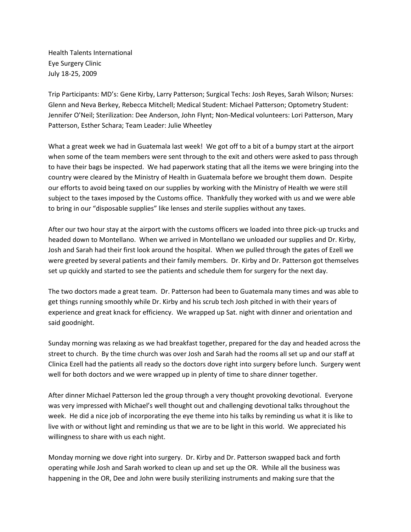Health Talents International Eye Surgery Clinic July 18-25, 2009

Trip Participants: MD's: Gene Kirby, Larry Patterson; Surgical Techs: Josh Reyes, Sarah Wilson; Nurses: Glenn and Neva Berkey, Rebecca Mitchell; Medical Student: Michael Patterson; Optometry Student: Jennifer O'Neil; Sterilization: Dee Anderson, John Flynt; Non-Medical volunteers: Lori Patterson, Mary Patterson, Esther Schara; Team Leader: Julie Wheetley

What a great week we had in Guatemala last week! We got off to a bit of a bumpy start at the airport when some of the team members were sent through to the exit and others were asked to pass through to have their bags be inspected. We had paperwork stating that all the items we were bringing into the country were cleared by the Ministry of Health in Guatemala before we brought them down. Despite our efforts to avoid being taxed on our supplies by working with the Ministry of Health we were still subject to the taxes imposed by the Customs office. Thankfully they worked with us and we were able to bring in our "disposable supplies" like lenses and sterile supplies without any taxes.

After our two hour stay at the airport with the customs officers we loaded into three pick-up trucks and headed down to Montellano. When we arrived in Montellano we unloaded our supplies and Dr. Kirby, Josh and Sarah had their first look around the hospital. When we pulled through the gates of Ezell we were greeted by several patients and their family members. Dr. Kirby and Dr. Patterson got themselves set up quickly and started to see the patients and schedule them for surgery for the next day.

The two doctors made a great team. Dr. Patterson had been to Guatemala many times and was able to get things running smoothly while Dr. Kirby and his scrub tech Josh pitched in with their years of experience and great knack for efficiency. We wrapped up Sat. night with dinner and orientation and said goodnight.

Sunday morning was relaxing as we had breakfast together, prepared for the day and headed across the street to church. By the time church was over Josh and Sarah had the rooms all set up and our staff at Clinica Ezell had the patients all ready so the doctors dove right into surgery before lunch. Surgery went well for both doctors and we were wrapped up in plenty of time to share dinner together.

After dinner Michael Patterson led the group through a very thought provoking devotional. Everyone was very impressed with Michael's well thought out and challenging devotional talks throughout the week. He did a nice job of incorporating the eye theme into his talks by reminding us what it is like to live with or without light and reminding us that we are to be light in this world. We appreciated his willingness to share with us each night.

Monday morning we dove right into surgery. Dr. Kirby and Dr. Patterson swapped back and forth operating while Josh and Sarah worked to clean up and set up the OR. While all the business was happening in the OR, Dee and John were busily sterilizing instruments and making sure that the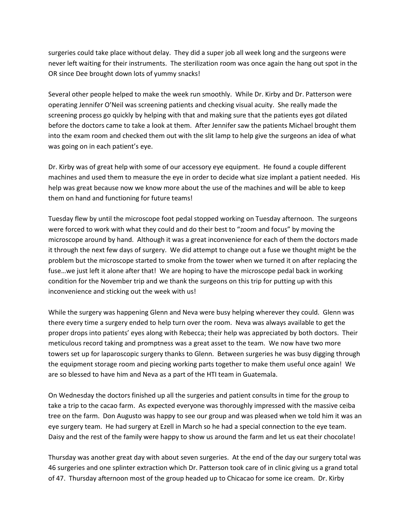surgeries could take place without delay. They did a super job all week long and the surgeons were never left waiting for their instruments. The sterilization room was once again the hang out spot in the OR since Dee brought down lots of yummy snacks!

Several other people helped to make the week run smoothly. While Dr. Kirby and Dr. Patterson were operating Jennifer O'Neil was screening patients and checking visual acuity. She really made the screening process go quickly by helping with that and making sure that the patients eyes got dilated before the doctors came to take a look at them. After Jennifer saw the patients Michael brought them into the exam room and checked them out with the slit lamp to help give the surgeons an idea of what was going on in each patient's eye.

Dr. Kirby was of great help with some of our accessory eye equipment. He found a couple different machines and used them to measure the eye in order to decide what size implant a patient needed. His help was great because now we know more about the use of the machines and will be able to keep them on hand and functioning for future teams!

Tuesday flew by until the microscope foot pedal stopped working on Tuesday afternoon. The surgeons were forced to work with what they could and do their best to "zoom and focus" by moving the microscope around by hand. Although it was a great inconvenience for each of them the doctors made it through the next few days of surgery. We did attempt to change out a fuse we thought might be the problem but the microscope started to smoke from the tower when we turned it on after replacing the fuse…we just left it alone after that! We are hoping to have the microscope pedal back in working condition for the November trip and we thank the surgeons on this trip for putting up with this inconvenience and sticking out the week with us!

While the surgery was happening Glenn and Neva were busy helping wherever they could. Glenn was there every time a surgery ended to help turn over the room. Neva was always available to get the proper drops into patients' eyes along with Rebecca; their help was appreciated by both doctors. Their meticulous record taking and promptness was a great asset to the team. We now have two more towers set up for laparoscopic surgery thanks to Glenn. Between surgeries he was busy digging through the equipment storage room and piecing working parts together to make them useful once again! We are so blessed to have him and Neva as a part of the HTI team in Guatemala.

On Wednesday the doctors finished up all the surgeries and patient consults in time for the group to take a trip to the cacao farm. As expected everyone was thoroughly impressed with the massive ceiba tree on the farm. Don Augusto was happy to see our group and was pleased when we told him it was an eye surgery team. He had surgery at Ezell in March so he had a special connection to the eye team. Daisy and the rest of the family were happy to show us around the farm and let us eat their chocolate!

Thursday was another great day with about seven surgeries. At the end of the day our surgery total was 46 surgeries and one splinter extraction which Dr. Patterson took care of in clinic giving us a grand total of 47. Thursday afternoon most of the group headed up to Chicacao for some ice cream. Dr. Kirby